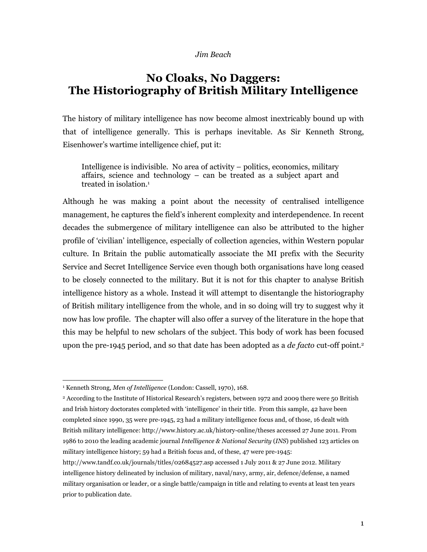#### Jim Beach

# No Cloaks, No Daggers: The Historiography of British Military Intelligence

The history of military intelligence has now become almost inextricably bound up with that of intelligence generally. This is perhaps inevitable. As Sir Kenneth Strong, Eisenhower's wartime intelligence chief, put it:

Intelligence is indivisible. No area of activity – politics, economics, military affairs, science and technology – can be treated as a subject apart and treated in isolation.<sup>1</sup>

Although he was making a point about the necessity of centralised intelligence management, he captures the field's inherent complexity and interdependence. In recent decades the submergence of military intelligence can also be attributed to the higher profile of 'civilian' intelligence, especially of collection agencies, within Western popular culture. In Britain the public automatically associate the MI prefix with the Security Service and Secret Intelligence Service even though both organisations have long ceased to be closely connected to the military. But it is not for this chapter to analyse British intelligence history as a whole. Instead it will attempt to disentangle the historiography of British military intelligence from the whole, and in so doing will try to suggest why it now has low profile. The chapter will also offer a survey of the literature in the hope that this may be helpful to new scholars of the subject. This body of work has been focused upon the pre-1945 period, and so that date has been adopted as a *de facto* cut-off point.<sup>2</sup>

 $\overline{a}$ 

http://www.tandf.co.uk/journals/titles/02684527.asp accessed 1 July 2011 & 27 June 2012. Military intelligence history delineated by inclusion of military, naval/navy, army, air, defence/defense, a named military organisation or leader, or a single battle/campaign in title and relating to events at least ten years prior to publication date.

<sup>&</sup>lt;sup>1</sup> Kenneth Strong, Men of Intelligence (London: Cassell, 1970), 168.

<sup>2</sup> According to the Institute of Historical Research's registers, between 1972 and 2009 there were 50 British and Irish history doctorates completed with 'intelligence' in their title. From this sample, 42 have been completed since 1990, 35 were pre-1945, 23 had a military intelligence focus and, of those, 16 dealt with British military intelligence: http://www.history.ac.uk/history-online/theses accessed 27 June 2011. From 1986 to 2010 the leading academic journal Intelligence & National Security (INS) published 123 articles on military intelligence history; 59 had a British focus and, of these, 47 were pre-1945: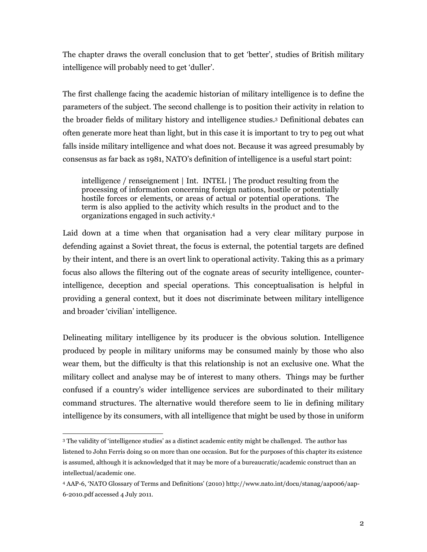The chapter draws the overall conclusion that to get 'better', studies of British military intelligence will probably need to get 'duller'.

The first challenge facing the academic historian of military intelligence is to define the parameters of the subject. The second challenge is to position their activity in relation to the broader fields of military history and intelligence studies.<sup>3</sup> Definitional debates can often generate more heat than light, but in this case it is important to try to peg out what falls inside military intelligence and what does not. Because it was agreed presumably by consensus as far back as 1981, NATO's definition of intelligence is a useful start point:

intelligence / renseignement | Int. INTEL | The product resulting from the processing of information concerning foreign nations, hostile or potentially hostile forces or elements, or areas of actual or potential operations. The term is also applied to the activity which results in the product and to the organizations engaged in such activity.<sup>4</sup>

Laid down at a time when that organisation had a very clear military purpose in defending against a Soviet threat, the focus is external, the potential targets are defined by their intent, and there is an overt link to operational activity. Taking this as a primary focus also allows the filtering out of the cognate areas of security intelligence, counterintelligence, deception and special operations. This conceptualisation is helpful in providing a general context, but it does not discriminate between military intelligence and broader 'civilian' intelligence.

Delineating military intelligence by its producer is the obvious solution. Intelligence produced by people in military uniforms may be consumed mainly by those who also wear them, but the difficulty is that this relationship is not an exclusive one. What the military collect and analyse may be of interest to many others. Things may be further confused if a country's wider intelligence services are subordinated to their military command structures. The alternative would therefore seem to lie in defining military intelligence by its consumers, with all intelligence that might be used by those in uniform

<sup>3</sup> The validity of 'intelligence studies' as a distinct academic entity might be challenged. The author has listened to John Ferris doing so on more than one occasion. But for the purposes of this chapter its existence is assumed, although it is acknowledged that it may be more of a bureaucratic/academic construct than an intellectual/academic one.

<sup>4</sup> AAP-6, 'NATO Glossary of Terms and Definitions' (2010) http://www.nato.int/docu/stanag/aap006/aap-6-2010.pdf accessed 4 July 2011.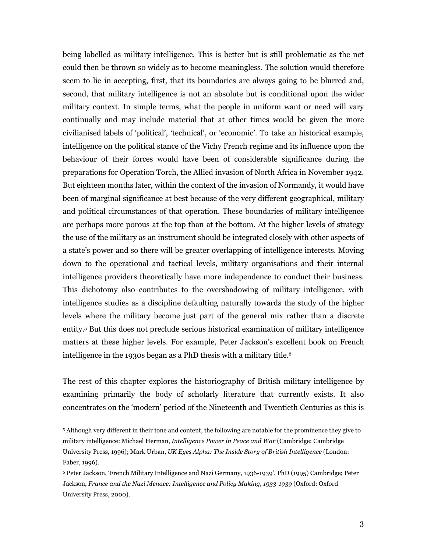being labelled as military intelligence. This is better but is still problematic as the net could then be thrown so widely as to become meaningless. The solution would therefore seem to lie in accepting, first, that its boundaries are always going to be blurred and, second, that military intelligence is not an absolute but is conditional upon the wider military context. In simple terms, what the people in uniform want or need will vary continually and may include material that at other times would be given the more civilianised labels of 'political', 'technical', or 'economic'. To take an historical example, intelligence on the political stance of the Vichy French regime and its influence upon the behaviour of their forces would have been of considerable significance during the preparations for Operation Torch, the Allied invasion of North Africa in November 1942. But eighteen months later, within the context of the invasion of Normandy, it would have been of marginal significance at best because of the very different geographical, military and political circumstances of that operation. These boundaries of military intelligence are perhaps more porous at the top than at the bottom. At the higher levels of strategy the use of the military as an instrument should be integrated closely with other aspects of a state's power and so there will be greater overlapping of intelligence interests. Moving down to the operational and tactical levels, military organisations and their internal intelligence providers theoretically have more independence to conduct their business. This dichotomy also contributes to the overshadowing of military intelligence, with intelligence studies as a discipline defaulting naturally towards the study of the higher levels where the military become just part of the general mix rather than a discrete entity.<sup>5</sup> But this does not preclude serious historical examination of military intelligence matters at these higher levels. For example, Peter Jackson's excellent book on French intelligence in the 1930s began as a PhD thesis with a military title.<sup>6</sup>

The rest of this chapter explores the historiography of British military intelligence by examining primarily the body of scholarly literature that currently exists. It also concentrates on the 'modern' period of the Nineteenth and Twentieth Centuries as this is

<sup>5</sup> Although very different in their tone and content, the following are notable for the prominence they give to military intelligence: Michael Herman, Intelligence Power in Peace and War (Cambridge: Cambridge University Press, 1996); Mark Urban, UK Eyes Alpha: The Inside Story of British Intelligence (London: Faber, 1996).

<sup>6</sup> Peter Jackson, 'French Military Intelligence and Nazi Germany, 1936-1939', PhD (1995) Cambridge; Peter Jackson, France and the Nazi Menace: Intelligence and Policy Making, 1933-1939 (Oxford: Oxford University Press, 2000).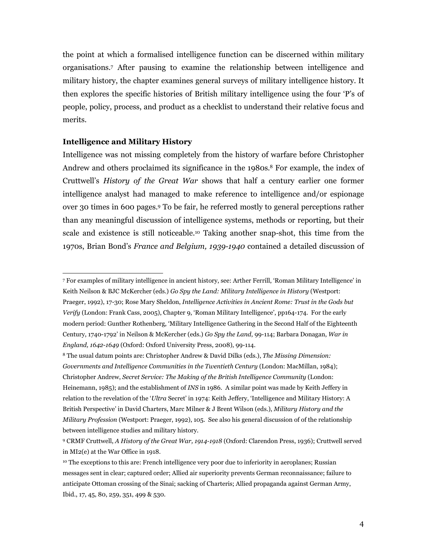the point at which a formalised intelligence function can be discerned within military organisations.<sup>7</sup> After pausing to examine the relationship between intelligence and military history, the chapter examines general surveys of military intelligence history. It then explores the specific histories of British military intelligence using the four 'P's of people, policy, process, and product as a checklist to understand their relative focus and merits.

### Intelligence and Military History

 $\overline{a}$ 

Intelligence was not missing completely from the history of warfare before Christopher Andrew and others proclaimed its significance in the 1980s.<sup>8</sup> For example, the index of Cruttwell's History of the Great War shows that half a century earlier one former intelligence analyst had managed to make reference to intelligence and/or espionage over 30 times in 600 pages.<sup>9</sup> To be fair, he referred mostly to general perceptions rather than any meaningful discussion of intelligence systems, methods or reporting, but their scale and existence is still noticeable.10 Taking another snap-shot, this time from the 1970s, Brian Bond's France and Belgium, 1939-1940 contained a detailed discussion of

<sup>7</sup> For examples of military intelligence in ancient history, see: Arther Ferrill, 'Roman Military Intelligence' in Keith Neilson & BJC McKercher (eds.) Go Spy the Land: Military Intelligence in History (Westport: Praeger, 1992), 17-30; Rose Mary Sheldon, Intelligence Activities in Ancient Rome: Trust in the Gods but Verify (London: Frank Cass, 2005), Chapter 9, 'Roman Military Intelligence', pp164-174. For the early modern period: Gunther Rothenberg, 'Military Intelligence Gathering in the Second Half of the Eighteenth Century, 1740-1792' in Neilson & McKercher (eds.) Go Spy the Land, 99-114; Barbara Donagan, War in England, 1642-1649 (Oxford: Oxford University Press, 2008), 99-114.

<sup>&</sup>lt;sup>8</sup> The usual datum points are: Christopher Andrew & David Dilks (eds.), The Missing Dimension: Governments and Intelligence Communities in the Twentieth Century (London: MacMillan, 1984); Christopher Andrew, Secret Service: The Making of the British Intelligence Community (London: Heinemann, 1985); and the establishment of INS in 1986. A similar point was made by Keith Jeffery in relation to the revelation of the 'Ultra Secret' in 1974: Keith Jeffery, 'Intelligence and Military History: A British Perspective' in David Charters, Marc Milner & J Brent Wilson (eds.), Military History and the Military Profession (Westport: Praeger, 1992), 105. See also his general discussion of of the relationship between intelligence studies and military history.

<sup>9</sup> CRMF Cruttwell, A History of the Great War, 1914-1918 (Oxford: Clarendon Press, 1936); Cruttwell served in MI2(e) at the War Office in 1918.

<sup>&</sup>lt;sup>10</sup> The exceptions to this are: French intelligence very poor due to inferiority in aeroplanes; Russian messages sent in clear; captured order; Allied air superiority prevents German reconnaissance; failure to anticipate Ottoman crossing of the Sinai; sacking of Charteris; Allied propaganda against German Army, Ibid., 17, 45, 80, 259, 351, 499 & 530.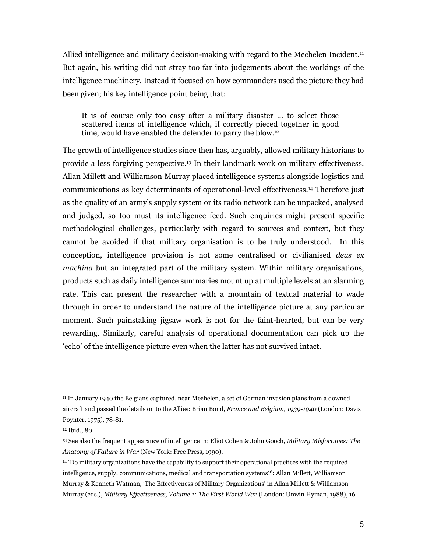Allied intelligence and military decision-making with regard to the Mechelen Incident.<sup>11</sup> But again, his writing did not stray too far into judgements about the workings of the intelligence machinery. Instead it focused on how commanders used the picture they had been given; his key intelligence point being that:

It is of course only too easy after a military disaster … to select those scattered items of intelligence which, if correctly pieced together in good time, would have enabled the defender to parry the blow.<sup>12</sup>

The growth of intelligence studies since then has, arguably, allowed military historians to provide a less forgiving perspective.13 In their landmark work on military effectiveness, Allan Millett and Williamson Murray placed intelligence systems alongside logistics and communications as key determinants of operational-level effectiveness.14 Therefore just as the quality of an army's supply system or its radio network can be unpacked, analysed and judged, so too must its intelligence feed. Such enquiries might present specific methodological challenges, particularly with regard to sources and context, but they cannot be avoided if that military organisation is to be truly understood. In this conception, intelligence provision is not some centralised or civilianised deus ex machina but an integrated part of the military system. Within military organisations, products such as daily intelligence summaries mount up at multiple levels at an alarming rate. This can present the researcher with a mountain of textual material to wade through in order to understand the nature of the intelligence picture at any particular moment. Such painstaking jigsaw work is not for the faint-hearted, but can be very rewarding. Similarly, careful analysis of operational documentation can pick up the 'echo' of the intelligence picture even when the latter has not survived intact.

<sup>11</sup> In January 1940 the Belgians captured, near Mechelen, a set of German invasion plans from a downed aircraft and passed the details on to the Allies: Brian Bond, France and Belgium, 1939-1940 (London: Davis Poynter, 1975), 78-81.

<sup>12</sup> Ibid., 80.

<sup>&</sup>lt;sup>13</sup> See also the frequent appearance of intelligence in: Eliot Cohen & John Gooch, Military Misfortunes: The Anatomy of Failure in War (New York: Free Press, 1990).

<sup>14</sup> 'Do military organizations have the capability to support their operational practices with the required intelligence, supply, communications, medical and transportation systems?': Allan Millett, Williamson Murray & Kenneth Watman, 'The Effectiveness of Military Organizations' in Allan Millett & Williamson Murray (eds.), Military Effectiveness, Volume 1: The First World War (London: Unwin Hyman, 1988), 16.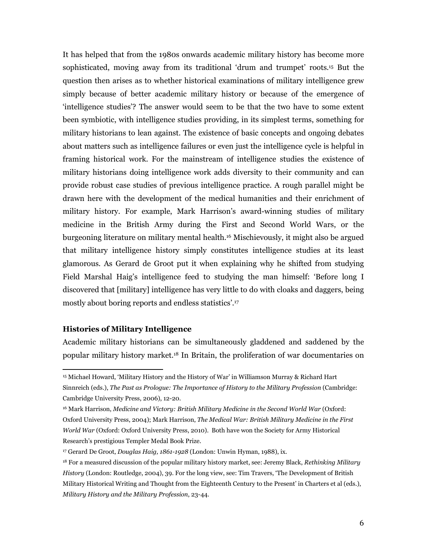It has helped that from the 1980s onwards academic military history has become more sophisticated, moving away from its traditional 'drum and trumpet' roots.15 But the question then arises as to whether historical examinations of military intelligence grew simply because of better academic military history or because of the emergence of 'intelligence studies'? The answer would seem to be that the two have to some extent been symbiotic, with intelligence studies providing, in its simplest terms, something for military historians to lean against. The existence of basic concepts and ongoing debates about matters such as intelligence failures or even just the intelligence cycle is helpful in framing historical work. For the mainstream of intelligence studies the existence of military historians doing intelligence work adds diversity to their community and can provide robust case studies of previous intelligence practice. A rough parallel might be drawn here with the development of the medical humanities and their enrichment of military history. For example, Mark Harrison's award-winning studies of military medicine in the British Army during the First and Second World Wars, or the burgeoning literature on military mental health.16 Mischievously, it might also be argued that military intelligence history simply constitutes intelligence studies at its least glamorous. As Gerard de Groot put it when explaining why he shifted from studying Field Marshal Haig's intelligence feed to studying the man himself: 'Before long I discovered that [military] intelligence has very little to do with cloaks and daggers, being mostly about boring reports and endless statistics'.<sup>17</sup>

### Histories of Military Intelligence

 $\overline{a}$ 

Academic military historians can be simultaneously gladdened and saddened by the popular military history market.18 In Britain, the proliferation of war documentaries on

<sup>15</sup> Michael Howard, 'Military History and the History of War' in Williamson Murray & Richard Hart Sinnreich (eds.), The Past as Prologue: The Importance of History to the Military Profession (Cambridge: Cambridge University Press, 2006), 12-20.

<sup>16</sup> Mark Harrison, Medicine and Victory: British Military Medicine in the Second World War (Oxford: Oxford University Press, 2004); Mark Harrison, The Medical War: British Military Medicine in the First World War (Oxford: Oxford University Press, 2010). Both have won the Society for Army Historical Research's prestigious Templer Medal Book Prize.

<sup>&</sup>lt;sup>17</sup> Gerard De Groot, Douglas Haig, 1861-1928 (London: Unwin Hyman, 1988), ix.

 $18$  For a measured discussion of the popular military history market, see: Jeremy Black, Rethinking Military History (London: Routledge, 2004), 39. For the long view, see: Tim Travers, 'The Development of British Military Historical Writing and Thought from the Eighteenth Century to the Present' in Charters et al (eds.), Military History and the Military Profession, 23-44.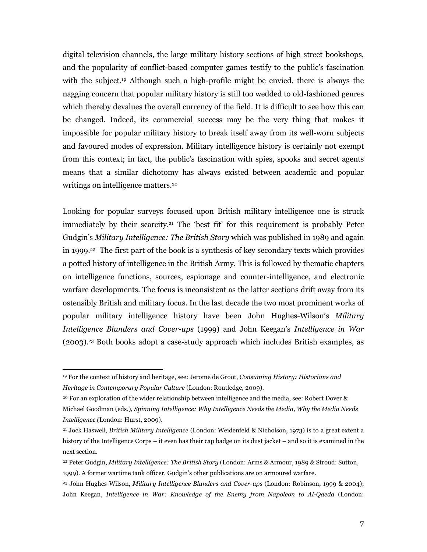digital television channels, the large military history sections of high street bookshops, and the popularity of conflict-based computer games testify to the public's fascination with the subject.<sup>19</sup> Although such a high-profile might be envied, there is always the nagging concern that popular military history is still too wedded to old-fashioned genres which thereby devalues the overall currency of the field. It is difficult to see how this can be changed. Indeed, its commercial success may be the very thing that makes it impossible for popular military history to break itself away from its well-worn subjects and favoured modes of expression. Military intelligence history is certainly not exempt from this context; in fact, the public's fascination with spies, spooks and secret agents means that a similar dichotomy has always existed between academic and popular writings on intelligence matters.<sup>20</sup>

Looking for popular surveys focused upon British military intelligence one is struck immediately by their scarcity.21 The 'best fit' for this requirement is probably Peter Gudgin's Military Intelligence: The British Story which was published in 1989 and again in 1999.22 The first part of the book is a synthesis of key secondary texts which provides a potted history of intelligence in the British Army. This is followed by thematic chapters on intelligence functions, sources, espionage and counter-intelligence, and electronic warfare developments. The focus is inconsistent as the latter sections drift away from its ostensibly British and military focus. In the last decade the two most prominent works of popular military intelligence history have been John Hughes-Wilson's Military Intelligence Blunders and Cover-ups (1999) and John Keegan's Intelligence in War (2003).23 Both books adopt a case-study approach which includes British examples, as

<sup>19</sup> For the context of history and heritage, see: Jerome de Groot, Consuming History: Historians and Heritage in Contemporary Popular Culture (London: Routledge, 2009).

<sup>20</sup> For an exploration of the wider relationship between intelligence and the media, see: Robert Dover & Michael Goodman (eds.), Spinning Intelligence: Why Intelligence Needs the Media, Why the Media Needs Intelligence (London: Hurst, 2009).

<sup>&</sup>lt;sup>21</sup> Jock Haswell, *British Military Intelligence* (London: Weidenfeld & Nicholson, 1973) is to a great extent a history of the Intelligence Corps – it even has their cap badge on its dust jacket – and so it is examined in the next section.

<sup>&</sup>lt;sup>22</sup> Peter Gudgin, Military Intelligence: The British Story (London: Arms & Armour, 1989 & Stroud: Sutton, 1999). A former wartime tank officer, Gudgin's other publications are on armoured warfare.

<sup>&</sup>lt;sup>23</sup> John Hughes-Wilson, *Military Intelligence Blunders and Cover-ups* (London: Robinson, 1999 & 2004); John Keegan, Intelligence in War: Knowledge of the Enemy from Napoleon to Al-Qaeda (London: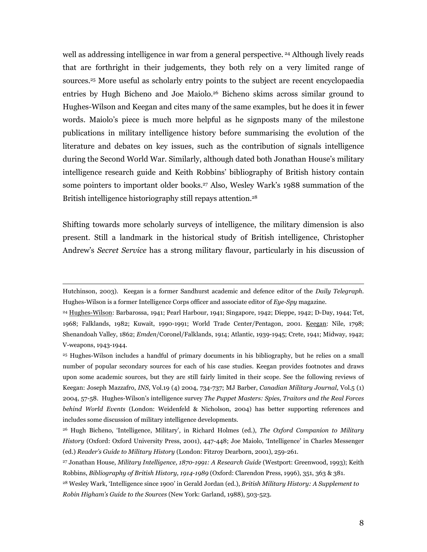well as addressing intelligence in war from a general perspective. 24 Although lively reads that are forthright in their judgements, they both rely on a very limited range of sources.<sup>25</sup> More useful as scholarly entry points to the subject are recent encyclopaedia entries by Hugh Bicheno and Joe Maiolo.26 Bicheno skims across similar ground to Hughes-Wilson and Keegan and cites many of the same examples, but he does it in fewer words. Maiolo's piece is much more helpful as he signposts many of the milestone publications in military intelligence history before summarising the evolution of the literature and debates on key issues, such as the contribution of signals intelligence during the Second World War. Similarly, although dated both Jonathan House's military intelligence research guide and Keith Robbins' bibliography of British history contain some pointers to important older books.27 Also, Wesley Wark's 1988 summation of the British intelligence historiography still repays attention.<sup>28</sup>

Shifting towards more scholarly surveys of intelligence, the military dimension is also present. Still a landmark in the historical study of British intelligence, Christopher Andrew's Secret Service has a strong military flavour, particularly in his discussion of

Hutchinson, 2003). Keegan is a former Sandhurst academic and defence editor of the Daily Telegraph. Hughes-Wilson is a former Intelligence Corps officer and associate editor of Eye-Spy magazine.

<sup>24</sup> Hughes-Wilson: Barbarossa, 1941; Pearl Harbour, 1941; Singapore, 1942; Dieppe, 1942; D-Day, 1944; Tet, 1968; Falklands, 1982; Kuwait, 1990-1991; World Trade Center/Pentagon, 2001. Keegan: Nile, 1798; Shenandoah Valley, 1862; Emden/Coronel/Falklands, 1914; Atlantic, 1939-1945; Crete, 1941; Midway, 1942; V-weapons, 1943-1944.

<sup>25</sup> Hughes-Wilson includes a handful of primary documents in his bibliography, but he relies on a small number of popular secondary sources for each of his case studies. Keegan provides footnotes and draws upon some academic sources, but they are still fairly limited in their scope. See the following reviews of Keegan: Joseph Mazzafro, INS, Vol.19 (4) 2004, 734-737; MJ Barber, Canadian Military Journal, Vol.5 (1) 2004, 57-58. Hughes-Wilson's intelligence survey The Puppet Masters: Spies, Traitors and the Real Forces behind World Events (London: Weidenfeld & Nicholson, 2004) has better supporting references and includes some discussion of military intelligence developments.

<sup>&</sup>lt;sup>26</sup> Hugh Bicheno, 'Intelligence, Military', in Richard Holmes (ed.), The Oxford Companion to Military History (Oxford: Oxford University Press, 2001), 447-448; Joe Maiolo, 'Intelligence' in Charles Messenger (ed.) Reader's Guide to Military History (London: Fitzroy Dearborn, 2001), 259-261.

<sup>27</sup> Jonathan House, Military Intelligence, 1870-1991: A Research Guide (Westport: Greenwood, 1993); Keith Robbins, Bibliography of British History, 1914-1989 (Oxford: Clarendon Press, 1996), 351, 363 & 381.

<sup>&</sup>lt;sup>28</sup> Wesley Wark, 'Intelligence since 1900' in Gerald Jordan (ed.), British Military History: A Supplement to Robin Higham's Guide to the Sources (New York: Garland, 1988), 503-523.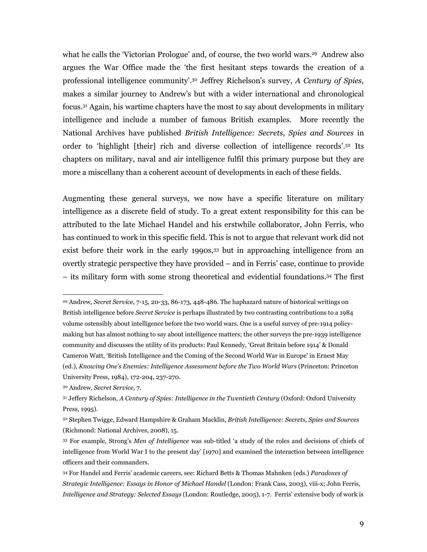what he calls the 'Victorian Prologue' and, of course, the two world wars.29 Andrew also argues the War Office made the 'the first hesitant steps towards the creation of a professional intelligence community'.30 Jeffrey Richelson's survey, A Century of Spies, makes a similar journey to Andrew's but with a wider international and chronological focus.31 Again, his wartime chapters have the most to say about developments in military intelligence and include a number of famous British examples. More recently the National Archives have published British Intelligence: Secrets, Spies and Sources in order to 'highlight [their] rich and diverse collection of intelligence records'.<sup>32</sup> Its chapters on military, naval and air intelligence fulfil this primary purpose but they are more a miscellany than a coherent account of developments in each of these fields.

Augmenting these general surveys, we now have a specific literature on military intelligence as a discrete field of study. To a great extent responsibility for this can be attributed to the late Michael Handel and his erstwhile collaborator, John Ferris, who has continued to work in this specific field. This is not to argue that relevant work did not exist before their work in the early 1990s,33 but in approaching intelligence from an overtly strategic perspective they have provided – and in Ferris' case, continue to provide – its military form with some strong theoretical and evidential foundations.34 The first

<sup>29</sup> Andrew, Secret Service, 7-15, 20-33, 86-173, 448-486. The haphazard nature of historical writings on British intelligence before Secret Service is perhaps illustrated by two contrasting contributions to a 1984 volume ostensibly about intelligence before the two world wars. One is a useful survey of pre-1914 policymaking but has almost nothing to say about intelligence matters; the other surveys the pre-1939 intelligence community and discusses the utility of its products: Paul Kennedy, 'Great Britain before 1914' & Donald Cameron Watt, 'British Intelligence and the Coming of the Second World War in Europe' in Ernest May (ed.), Knowing One's Enemies: Intelligence Assessment before the Two World Wars (Princeton: Princeton University Press, 1984), 172-204, 237-270.

<sup>30</sup> Andrew, Secret Service, 7.

<sup>31</sup> Jeffery Richelson, A Century of Spies: Intelligence in the Twentieth Century (Oxford: Oxford University Press, 1995).

<sup>32</sup> Stephen Twigge, Edward Hampshire & Graham Macklin, British Intelligence: Secrets, Spies and Sources (Richmond: National Archives, 2008), 15.

<sup>33</sup> For example, Strong's Men of Intelligence was sub-titled 'a study of the roles and decisions of chiefs of intelligence from World War I to the present day' [1970] and examined the interaction between intelligence officers and their commanders.

<sup>34</sup> For Handel and Ferris' academic careers, see: Richard Betts & Thomas Mahnken (eds.) Paradoxes of Strategic Intelligence: Essays in Honor of Michael Handel (London: Frank Cass, 2003), viii-x; John Ferris, Intelligence and Strategy: Selected Essays (London: Routledge, 2005), 1-7. Ferris' extensive body of work is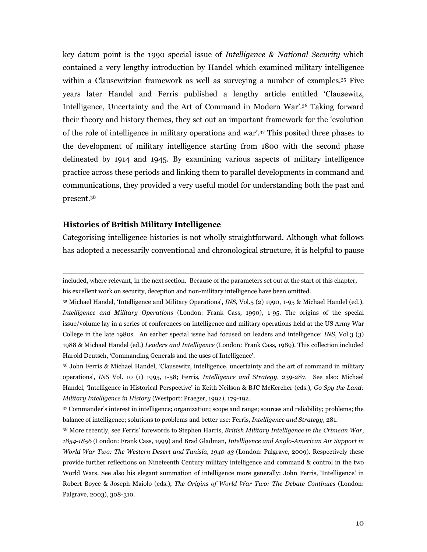key datum point is the 1990 special issue of *Intelligence & National Security* which contained a very lengthy introduction by Handel which examined military intelligence within a Clausewitzian framework as well as surveying a number of examples.35 Five years later Handel and Ferris published a lengthy article entitled 'Clausewitz, Intelligence, Uncertainty and the Art of Command in Modern War'.36 Taking forward their theory and history themes, they set out an important framework for the 'evolution of the role of intelligence in military operations and war'.37 This posited three phases to the development of military intelligence starting from 1800 with the second phase delineated by 1914 and 1945. By examining various aspects of military intelligence practice across these periods and linking them to parallel developments in command and communications, they provided a very useful model for understanding both the past and present.<sup>38</sup>

#### Histories of British Military Intelligence

 $\overline{a}$ 

Categorising intelligence histories is not wholly straightforward. Although what follows has adopted a necessarily conventional and chronological structure, it is helpful to pause

included, where relevant, in the next section. Because of the parameters set out at the start of this chapter, his excellent work on security, deception and non-military intelligence have been omitted.

<sup>35</sup> Michael Handel, 'Intelligence and Military Operations', INS, Vol.5 (2) 1990, 1-95 & Michael Handel (ed.), Intelligence and Military Operations (London: Frank Cass, 1990), 1-95. The origins of the special issue/volume lay in a series of conferences on intelligence and military operations held at the US Army War College in the late 1980s. An earlier special issue had focused on leaders and intelligence: INS, Vol.3 (3) 1988 & Michael Handel (ed.) Leaders and Intelligence (London: Frank Cass, 1989). This collection included Harold Deutsch, 'Commanding Generals and the uses of Intelligence'.

<sup>36</sup> John Ferris & Michael Handel, 'Clausewitz, intelligence, uncertainty and the art of command in military operations', INS Vol. 10 (1) 1995, 1-58; Ferris, Intelligence and Strategy, 239-287. See also: Michael Handel, 'Intelligence in Historical Perspective' in Keith Neilson & BJC McKercher (eds.), Go Spy the Land: Military Intelligence in History (Westport: Praeger, 1992), 179-192.

<sup>37</sup> Commander's interest in intelligence; organization; scope and range; sources and reliability; problems; the balance of intelligence; solutions to problems and better use: Ferris, Intelligence and Strategy, 281.

<sup>38</sup> More recently, see Ferris' forewords to Stephen Harris, British Military Intelligence in the Crimean War, 1854-1856 (London: Frank Cass, 1999) and Brad Gladman, Intelligence and Anglo-American Air Support in World War Two: The Western Desert and Tunisia, 1940-43 (London: Palgrave, 2009). Respectively these provide further reflections on Nineteenth Century military intelligence and command & control in the two World Wars. See also his elegant summation of intelligence more generally: John Ferris, 'Intelligence' in Robert Boyce & Joseph Maiolo (eds.), The Origins of World War Two: The Debate Continues (London: Palgrave, 2003), 308-310.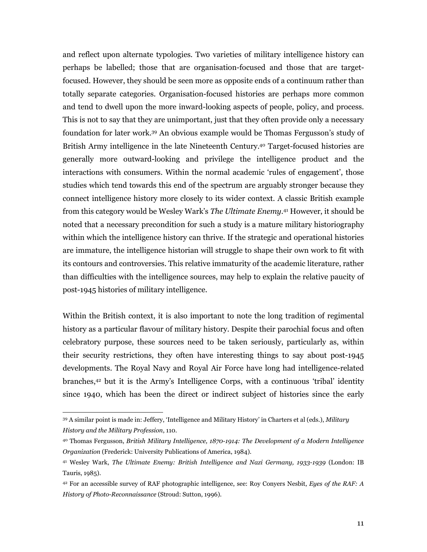and reflect upon alternate typologies. Two varieties of military intelligence history can perhaps be labelled; those that are organisation-focused and those that are targetfocused. However, they should be seen more as opposite ends of a continuum rather than totally separate categories. Organisation-focused histories are perhaps more common and tend to dwell upon the more inward-looking aspects of people, policy, and process. This is not to say that they are unimportant, just that they often provide only a necessary foundation for later work.39 An obvious example would be Thomas Fergusson's study of British Army intelligence in the late Nineteenth Century.40 Target-focused histories are generally more outward-looking and privilege the intelligence product and the interactions with consumers. Within the normal academic 'rules of engagement', those studies which tend towards this end of the spectrum are arguably stronger because they connect intelligence history more closely to its wider context. A classic British example from this category would be Wesley Wark's The Ultimate Enemy. <sup>41</sup> However, it should be noted that a necessary precondition for such a study is a mature military historiography within which the intelligence history can thrive. If the strategic and operational histories are immature, the intelligence historian will struggle to shape their own work to fit with its contours and controversies. This relative immaturity of the academic literature, rather than difficulties with the intelligence sources, may help to explain the relative paucity of post-1945 histories of military intelligence.

Within the British context, it is also important to note the long tradition of regimental history as a particular flavour of military history. Despite their parochial focus and often celebratory purpose, these sources need to be taken seriously, particularly as, within their security restrictions, they often have interesting things to say about post-1945 developments. The Royal Navy and Royal Air Force have long had intelligence-related branches,42 but it is the Army's Intelligence Corps, with a continuous 'tribal' identity since 1940, which has been the direct or indirect subject of histories since the early

<sup>39</sup> A similar point is made in: Jeffery, 'Intelligence and Military History' in Charters et al (eds.), Military History and the Military Profession, 110.

<sup>40</sup> Thomas Fergusson, British Military Intelligence, 1870-1914: The Development of a Modern Intelligence Organization (Frederick: University Publications of America, 1984).

<sup>41</sup> Wesley Wark, The Ultimate Enemy: British Intelligence and Nazi Germany, 1933-1939 (London: IB Tauris, 1985).

<sup>&</sup>lt;sup>42</sup> For an accessible survey of RAF photographic intelligence, see: Roy Conyers Nesbit, Eyes of the RAF: A History of Photo-Reconnaissance (Stroud: Sutton, 1996).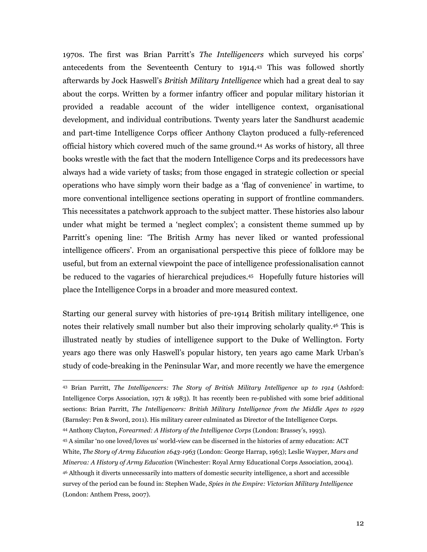1970s. The first was Brian Parritt's The Intelligencers which surveyed his corps' antecedents from the Seventeenth Century to 1914.43 This was followed shortly afterwards by Jock Haswell's British Military Intelligence which had a great deal to say about the corps. Written by a former infantry officer and popular military historian it provided a readable account of the wider intelligence context, organisational development, and individual contributions. Twenty years later the Sandhurst academic and part-time Intelligence Corps officer Anthony Clayton produced a fully-referenced official history which covered much of the same ground.44 As works of history, all three books wrestle with the fact that the modern Intelligence Corps and its predecessors have always had a wide variety of tasks; from those engaged in strategic collection or special operations who have simply worn their badge as a 'flag of convenience' in wartime, to more conventional intelligence sections operating in support of frontline commanders. This necessitates a patchwork approach to the subject matter. These histories also labour under what might be termed a 'neglect complex'; a consistent theme summed up by Parritt's opening line: 'The British Army has never liked or wanted professional intelligence officers'. From an organisational perspective this piece of folklore may be useful, but from an external viewpoint the pace of intelligence professionalisation cannot be reduced to the vagaries of hierarchical prejudices.45 Hopefully future histories will place the Intelligence Corps in a broader and more measured context.

Starting our general survey with histories of pre-1914 British military intelligence, one notes their relatively small number but also their improving scholarly quality.46 This is illustrated neatly by studies of intelligence support to the Duke of Wellington. Forty years ago there was only Haswell's popular history, ten years ago came Mark Urban's study of code-breaking in the Peninsular War, and more recently we have the emergence

<sup>43</sup> Brian Parritt, The Intelligencers: The Story of British Military Intelligence up to 1914 (Ashford: Intelligence Corps Association, 1971 & 1983). It has recently been re-published with some brief additional sections: Brian Parritt, The Intelligencers: British Military Intelligence from the Middle Ages to 1929 (Barnsley: Pen & Sword, 2011). His military career culminated as Director of the Intelligence Corps.

<sup>44</sup> Anthony Clayton, Forearmed: A History of the Intelligence Corps (London: Brassey's, 1993).

<sup>45</sup> A similar 'no one loved/loves us' world-view can be discerned in the histories of army education: ACT White, The Story of Army Education 1643-1963 (London: George Harrap, 1963); Leslie Wayper, Mars and Minerva: A History of Army Education (Winchester: Royal Army Educational Corps Association, 2004). <sup>46</sup> Although it diverts unnecessarily into matters of domestic security intelligence, a short and accessible survey of the period can be found in: Stephen Wade, Spies in the Empire: Victorian Military Intelligence (London: Anthem Press, 2007).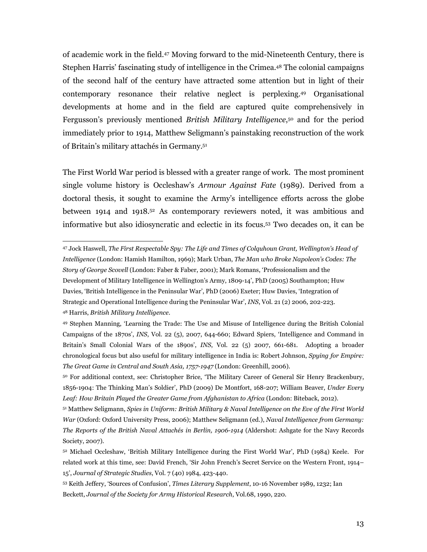of academic work in the field.47 Moving forward to the mid-Nineteenth Century, there is Stephen Harris' fascinating study of intelligence in the Crimea.48 The colonial campaigns of the second half of the century have attracted some attention but in light of their contemporary resonance their relative neglect is perplexing.49 Organisational developments at home and in the field are captured quite comprehensively in Fergusson's previously mentioned *British Military Intelligence*,<sup>50</sup> and for the period immediately prior to 1914, Matthew Seligmann's painstaking reconstruction of the work of Britain's military attachés in Germany.<sup>51</sup>

The First World War period is blessed with a greater range of work. The most prominent single volume history is Occleshaw's *Armour Against Fate* (1989). Derived from a doctoral thesis, it sought to examine the Army's intelligence efforts across the globe between 1914 and 1918.52 As contemporary reviewers noted, it was ambitious and informative but also idiosyncratic and eclectic in its focus.53 Two decades on, it can be

<sup>47</sup> Jock Haswell, The First Respectable Spy: The Life and Times of Colquhoun Grant, Wellington's Head of Intelligence (London: Hamish Hamilton, 1969); Mark Urban, The Man who Broke Napoleon's Codes: The Story of George Scovell (London: Faber & Faber, 2001); Mark Romans, 'Professionalism and the Development of Military Intelligence in Wellington's Army, 1809-14', PhD (2005) Southampton; Huw Davies, 'British Intelligence in the Peninsular War', PhD (2006) Exeter; Huw Davies, 'Integration of Strategic and Operational Intelligence during the Peninsular War', INS, Vol. 21 (2) 2006, 202-223. <sup>48</sup> Harris, British Military Intelligence.

<sup>49</sup> Stephen Manning, 'Learning the Trade: The Use and Misuse of Intelligence during the British Colonial Campaigns of the 1870s', INS, Vol. 22 (5), 2007, 644-660; Edward Spiers, 'Intelligence and Command in Britain's Small Colonial Wars of the 1890s', INS, Vol. 22 (5) 2007, 661-681. Adopting a broader chronological focus but also useful for military intelligence in India is: Robert Johnson, Spying for Empire: The Great Game in Central and South Asia, 1757-1947 (London: Greenhill, 2006).

<sup>50</sup> For additional context, see: Christopher Brice, 'The Military Career of General Sir Henry Brackenbury, 1856-1904: The Thinking Man's Soldier', PhD (2009) De Montfort, 168-207; William Beaver, Under Every Leaf: How Britain Played the Greater Game from Afghanistan to Africa (London: Biteback, 2012).

<sup>51</sup> Matthew Seligmann, Spies in Uniform: British Military & Naval Intelligence on the Eve of the First World War (Oxford: Oxford University Press, 2006); Matthew Seligmann (ed.), Naval Intelligence from Germany: The Reports of the British Naval Attachés in Berlin, 1906-1914 (Aldershot: Ashgate for the Navy Records Society, 2007).

<sup>52</sup> Michael Occleshaw, 'British Military Intelligence during the First World War', PhD (1984) Keele. For related work at this time, see: David French, 'Sir John French's Secret Service on the Western Front, 1914– 15', Journal of Strategic Studies, Vol. 7 (40) 1984, 423-440.

<sup>53</sup> Keith Jeffery, 'Sources of Confusion', Times Literary Supplement, 10-16 November 1989, 1232; Ian Beckett, Journal of the Society for Army Historical Research, Vol.68, 1990, 220.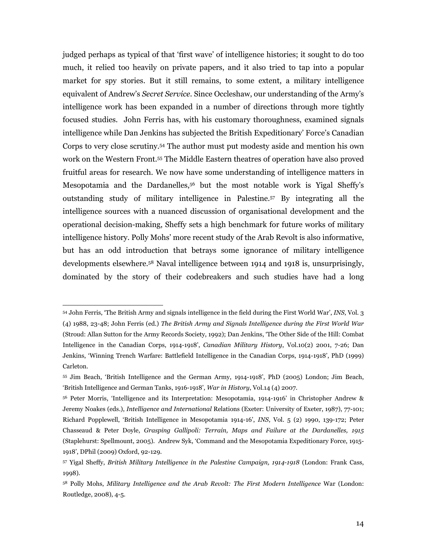judged perhaps as typical of that 'first wave' of intelligence histories; it sought to do too much, it relied too heavily on private papers, and it also tried to tap into a popular market for spy stories. But it still remains, to some extent, a military intelligence equivalent of Andrew's *Secret Service*. Since Occleshaw, our understanding of the Army's intelligence work has been expanded in a number of directions through more tightly focused studies. John Ferris has, with his customary thoroughness, examined signals intelligence while Dan Jenkins has subjected the British Expeditionary' Force's Canadian Corps to very close scrutiny.54 The author must put modesty aside and mention his own work on the Western Front.55 The Middle Eastern theatres of operation have also proved fruitful areas for research. We now have some understanding of intelligence matters in Mesopotamia and the Dardanelles,56 but the most notable work is Yigal Sheffy's outstanding study of military intelligence in Palestine.57 By integrating all the intelligence sources with a nuanced discussion of organisational development and the operational decision-making, Sheffy sets a high benchmark for future works of military intelligence history. Polly Mohs' more recent study of the Arab Revolt is also informative, but has an odd introduction that betrays some ignorance of military intelligence developments elsewhere.58 Naval intelligence between 1914 and 1918 is, unsurprisingly, dominated by the story of their codebreakers and such studies have had a long

<sup>54</sup> John Ferris, 'The British Army and signals intelligence in the field during the First World War', INS, Vol. 3 (4) 1988, 23-48; John Ferris (ed.) The British Army and Signals Intelligence during the First World War (Stroud: Allan Sutton for the Army Records Society, 1992); Dan Jenkins, 'The Other Side of the Hill: Combat Intelligence in the Canadian Corps, 1914-1918', Canadian Military History, Vol.10(2) 2001, 7-26; Dan Jenkins, 'Winning Trench Warfare: Battlefield Intelligence in the Canadian Corps, 1914-1918', PhD (1999) Carleton.

<sup>55</sup> Jim Beach, 'British Intelligence and the German Army, 1914-1918', PhD (2005) London; Jim Beach, 'British Intelligence and German Tanks, 1916-1918', War in History, Vol.14 (4) 2007.

<sup>56</sup> Peter Morris, 'Intelligence and its Interpretation: Mesopotamia, 1914-1916' in Christopher Andrew & Jeremy Noakes (eds.), Intelligence and International Relations (Exeter: University of Exeter, 1987), 77-101; Richard Popplewell, 'British Intelligence in Mesopotamia 1914-16', INS, Vol. 5 (2) 1990, 139-172; Peter Chasseaud & Peter Doyle, Grasping Gallipoli: Terrain, Maps and Failure at the Dardanelles, 1915 (Staplehurst: Spellmount, 2005). Andrew Syk, 'Command and the Mesopotamia Expeditionary Force, 1915- 1918', DPhil (2009) Oxford, 92-129.

<sup>57</sup> Yigal Sheffy, British Military Intelligence in the Palestine Campaign, 1914-1918 (London: Frank Cass, 1998).

<sup>&</sup>lt;sup>58</sup> Polly Mohs, *Military Intelligence and the Arab Revolt: The First Modern Intelligence War (London:* Routledge, 2008), 4-5.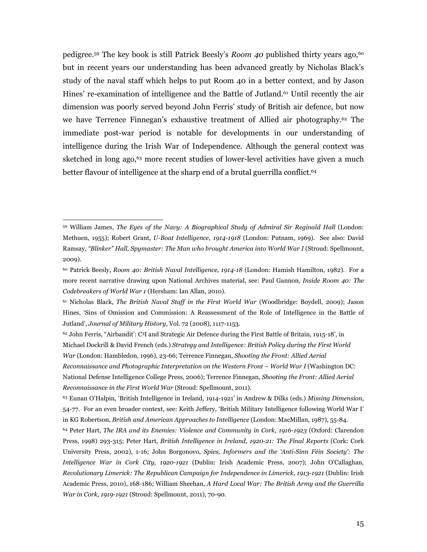pedigree.<sup>59</sup> The key book is still Patrick Beesly's *Room 40* published thirty years ago,<sup>60</sup> but in recent years our understanding has been advanced greatly by Nicholas Black's study of the naval staff which helps to put Room 40 in a better context, and by Jason Hines' re-examination of intelligence and the Battle of Jutland.61 Until recently the air dimension was poorly served beyond John Ferris' study of British air defence, but now we have Terrence Finnegan's exhaustive treatment of Allied air photography.62 The immediate post-war period is notable for developments in our understanding of intelligence during the Irish War of Independence. Although the general context was sketched in long ago,<sup>63</sup> more recent studies of lower-level activities have given a much better flavour of intelligence at the sharp end of a brutal guerrilla conflict.<sup>64</sup>

<sup>59</sup> William James, The Eyes of the Navy: A Biographical Study of Admiral Sir Reginald Hall (London: Methuen, 1955); Robert Grant, U-Boat Intelligence, 1914-1918 (London: Putnam, 1969). See also: David Ramsay, "Blinker" Hall, Spymaster: The Man who brought America into World War I (Stroud: Spellmount, 2009).

 $60$  Patrick Beesly, Room 40: British Naval Intelligence, 1914-18 (London: Hamish Hamilton, 1982). For a more recent narrative drawing upon National Archives material, see: Paul Gannon, *Inside Room 40: The* Codebreakers of World War 1 (Hersham: Ian Allan, 2010).

 $61$  Nicholas Black, The British Naval Staff in the First World War (Woodbridge: Boydell, 2009); Jason Hines, 'Sins of Omission and Commission: A Reassessment of the Role of Intelligence in the Battle of Jutland', Journal of Military History, Vol. 72 (2008), 1117-1153.

 $62$  John Ferris, "Airbandit': C<sup>3</sup>I and Strategic Air Defence during the First Battle of Britain, 1915-18', in Michael Dockrill & David French (eds.) Strategy and Intelligence: British Policy during the First World War (London: Hambledon, 1996), 23-66; Terrence Finnegan, Shooting the Front: Allied Aerial

Reconnaissance and Photographic Interpretation on the Western Front – World War I (Washington DC: National Defense Intelligence College Press, 2006); Terrence Finnegan, Shooting the Front: Allied Aerial Reconnaissance in the First World War (Stroud: Spellmount, 2011).

<sup>63</sup> Eunan O'Halpin, 'British Intelligence in Ireland, 1914-1921' in Andrew & Dilks (eds.) Missing Dimension, 54-77. For an even broader context, see: Keith Jeffery, 'British Military Intelligence following World War I' in KG Robertson, British and American Approaches to Intelligence (London: MacMillan, 1987), 55-84.

<sup>64</sup> Peter Hart, The IRA and its Enemies: Violence and Community in Cork, 1916-1923 (Oxford: Clarendon Press, 1998) 293-315; Peter Hart, British Intelligence in Ireland, 1920-21: The Final Reports (Cork: Cork University Press, 2002), 1-16; John Borgonovo, Spies, Informers and the 'Anti-Sinn Féin Society': The Intelligence War in Cork City, 1920-1921 (Dublin: Irish Academic Press, 2007); John O'Callaghan, Revolutionary Limerick: The Republican Campaign for Independence in Limerick, 1913-1921 (Dublin: Irish Academic Press, 2010), 168-186; William Sheehan, A Hard Local War: The British Army and the Guerrilla War in Cork, 1919-1921 (Stroud: Spellmount, 2011), 70-90.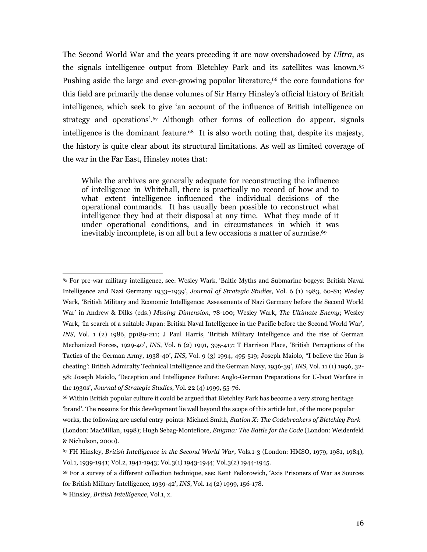The Second World War and the years preceding it are now overshadowed by Ultra, as the signals intelligence output from Bletchley Park and its satellites was known.<sup>65</sup> Pushing aside the large and ever-growing popular literature,<sup>66</sup> the core foundations for this field are primarily the dense volumes of Sir Harry Hinsley's official history of British intelligence, which seek to give 'an account of the influence of British intelligence on strategy and operations'.<sup>67</sup> Although other forms of collection do appear, signals intelligence is the dominant feature.<sup>68</sup> It is also worth noting that, despite its majesty, the history is quite clear about its structural limitations. As well as limited coverage of the war in the Far East, Hinsley notes that:

While the archives are generally adequate for reconstructing the influence of intelligence in Whitehall, there is practically no record of how and to what extent intelligence influenced the individual decisions of the operational commands. It has usually been possible to reconstruct what intelligence they had at their disposal at any time. What they made of it under operational conditions, and in circumstances in which it was inevitably incomplete, is on all but a few occasions a matter of surmise.<sup>69</sup>

<sup>65</sup> For pre-war military intelligence, see: Wesley Wark, 'Baltic Myths and Submarine bogeys: British Naval Intelligence and Nazi Germany 1933–1939', Journal of Strategic Studies, Vol. 6 (1) 1983, 60-81; Wesley Wark, 'British Military and Economic Intelligence: Assessments of Nazi Germany before the Second World War' in Andrew & Dilks (eds.) Missing Dimension, 78-100; Wesley Wark, The Ultimate Enemy; Wesley Wark, 'In search of a suitable Japan: British Naval Intelligence in the Pacific before the Second World War', INS, Vol. 1 (2) 1986, pp189-211; J Paul Harris, 'British Military Intelligence and the rise of German Mechanized Forces, 1929-40', INS, Vol. 6 (2) 1991, 395-417; T Harrison Place, 'British Perceptions of the Tactics of the German Army, 1938-40', INS, Vol. 9 (3) 1994, 495-519; Joseph Maiolo, "I believe the Hun is cheating': British Admiralty Technical Intelligence and the German Navy, 1936-39', INS, Vol. 11 (1) 1996, 32- 58; Joseph Maiolo, 'Deception and Intelligence Failure: Anglo-German Preparations for U-boat Warfare in the 1930s', Journal of Strategic Studies, Vol. 22 (4) 1999, 55-76.

<sup>66</sup> Within British popular culture it could be argued that Bletchley Park has become a very strong heritage 'brand'. The reasons for this development lie well beyond the scope of this article but, of the more popular works, the following are useful entry-points: Michael Smith, Station X: The Codebreakers of Bletchley Park (London: MacMillan, 1998); Hugh Sebag-Montefiore, Enigma: The Battle for the Code (London: Weidenfeld & Nicholson, 2000).

<sup>67</sup> FH Hinsley, British Intelligence in the Second World War, Vols.1-3 (London: HMSO, 1979, 1981, 1984), Vol.1, 1939-1941; Vol.2, 1941-1943; Vol.3(1) 1943-1944; Vol.3(2) 1944-1945.

<sup>68</sup> For a survey of a different collection technique, see: Kent Fedorowich, 'Axis Prisoners of War as Sources for British Military Intelligence, 1939-42', INS, Vol. 14 (2) 1999, 156-178.

<sup>69</sup> Hinsley, British Intelligence, Vol.1, x.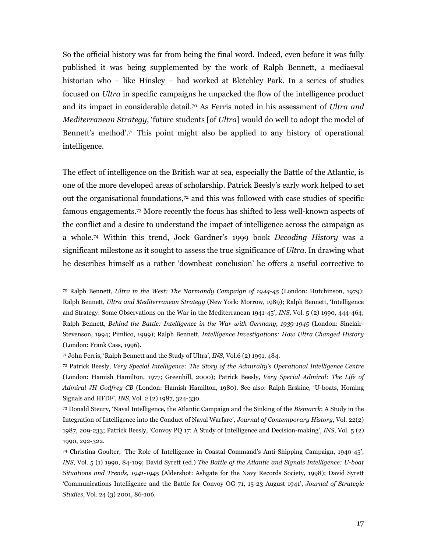So the official history was far from being the final word. Indeed, even before it was fully published it was being supplemented by the work of Ralph Bennett, a mediaeval historian who – like Hinsley – had worked at Bletchley Park. In a series of studies focused on Ultra in specific campaigns he unpacked the flow of the intelligence product and its impact in considerable detail.<sup>70</sup> As Ferris noted in his assessment of *Ultra and* Mediterranean Strategy, 'future students [of Ultra] would do well to adopt the model of Bennett's method'.<sup>71</sup> This point might also be applied to any history of operational intelligence.

The effect of intelligence on the British war at sea, especially the Battle of the Atlantic, is one of the more developed areas of scholarship. Patrick Beesly's early work helped to set out the organisational foundations,72 and this was followed with case studies of specific famous engagements.73 More recently the focus has shifted to less well-known aspects of the conflict and a desire to understand the impact of intelligence across the campaign as a whole.74 Within this trend, Jock Gardner's 1999 book Decoding History was a significant milestone as it sought to assess the true significance of Ultra. In drawing what he describes himself as a rather 'downbeat conclusion' he offers a useful corrective to

<sup>70</sup> Ralph Bennett, Ultra in the West: The Normandy Campaign of 1944-45 (London: Hutchinson, 1979); Ralph Bennett, Ultra and Mediterranean Strategy (New York: Morrow, 1989); Ralph Bennett, 'Intelligence and Strategy: Some Observations on the War in the Mediterranean 1941-45', INS, Vol. 5 (2) 1990, 444-464; Ralph Bennett, Behind the Battle: Intelligence in the War with Germany, 1939-1945 (London: Sinclair-Stevenson, 1994; Pimlico, 1999); Ralph Bennett, Intelligence Investigations: How Ultra Changed History (London: Frank Cass, 1996).

<sup>71</sup> John Ferris, 'Ralph Bennett and the Study of Ultra', INS, Vol.6 (2) 1991, 484.

<sup>72</sup> Patrick Beesly, Very Special Intelligence: The Story of the Admiralty's Operational Intelligence Centre (London: Hamish Hamilton, 1977; Greenhill, 2000); Patrick Beesly, Very Special Admiral: The Life of Admiral JH Godfrey CB (London: Hamish Hamilton, 1980). See also: Ralph Erskine, 'U-boats, Homing Signals and HFDF', INS, Vol. 2 (2) 1987, 324-330.

<sup>73</sup> Donald Steury, 'Naval Intelligence, the Atlantic Campaign and the Sinking of the Bismarck: A Study in the Integration of Intelligence into the Conduct of Naval Warfare', Journal of Contemporary History, Vol. 22(2) 1987, 209-233; Patrick Beesly, 'Convoy PQ 17: A Study of Intelligence and Decision-making', INS, Vol. 5 (2) 1990, 292-322.

<sup>74</sup> Christina Goulter, 'The Role of Intelligence in Coastal Command's Anti-Shipping Campaign, 1940-45', INS, Vol. 5 (1) 1990, 84-109; David Syrett (ed.) The Battle of the Atlantic and Signals Intelligence: U-boat Situations and Trends, 1941-1945 (Aldershot: Ashgate for the Navy Records Society, 1998); David Syrett 'Communications Intelligence and the Battle for Convoy OG 71, 15-23 August 1941', Journal of Strategic Studies, Vol. 24 (3) 2001, 86-106.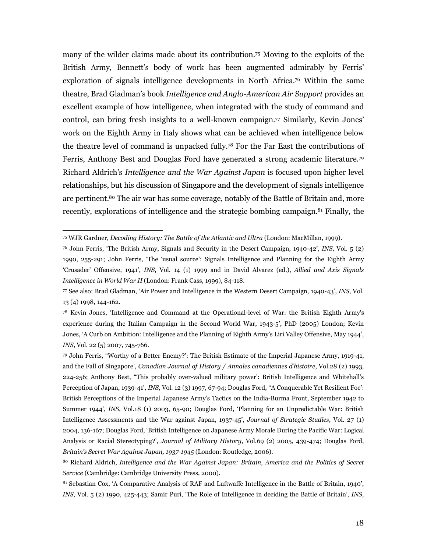many of the wilder claims made about its contribution.75 Moving to the exploits of the British Army, Bennett's body of work has been augmented admirably by Ferris' exploration of signals intelligence developments in North Africa.76 Within the same theatre, Brad Gladman's book Intelligence and Anglo-American Air Support provides an excellent example of how intelligence, when integrated with the study of command and control, can bring fresh insights to a well-known campaign.77 Similarly, Kevin Jones' work on the Eighth Army in Italy shows what can be achieved when intelligence below the theatre level of command is unpacked fully.78 For the Far East the contributions of Ferris, Anthony Best and Douglas Ford have generated a strong academic literature.<sup>79</sup> Richard Aldrich's Intelligence and the War Against Japan is focused upon higher level relationships, but his discussion of Singapore and the development of signals intelligence are pertinent.80 The air war has some coverage, notably of the Battle of Britain and, more recently, explorations of intelligence and the strategic bombing campaign.<sup>81</sup> Finally, the

<sup>75</sup> WJR Gardner, Decoding History: The Battle of the Atlantic and Ultra (London: MacMillan, 1999).

 $76$  John Ferris, 'The British Army, Signals and Security in the Desert Campaign, 1940-42', INS, Vol.  $5$  (2) 1990, 255-291; John Ferris, 'The 'usual source': Signals Intelligence and Planning for the Eighth Army 'Crusader' Offensive, 1941', INS, Vol. 14 (1) 1999 and in David Alvarez (ed.), Allied and Axis Signals Intelligence in World War II (London: Frank Cass, 1999), 84-118.

<sup>77</sup> See also: Brad Gladman, 'Air Power and Intelligence in the Western Desert Campaign, 1940-43', INS, Vol. 13 (4) 1998, 144-162.

<sup>78</sup> Kevin Jones, 'Intelligence and Command at the Operational-level of War: the British Eighth Army's experience during the Italian Campaign in the Second World War, 1943-5', PhD (2005) London; Kevin Jones, 'A Curb on Ambition: Intelligence and the Planning of Eighth Army's Liri Valley Offensive, May 1944', INS, Vol. 22 (5) 2007, 745-766.

<sup>79</sup> John Ferris, "Worthy of a Better Enemy?': The British Estimate of the Imperial Japanese Army, 1919-41, and the Fall of Singapore', Canadian Journal of History / Annales canadiennes d'histoire, Vol.28 (2) 1993, 224-256; Anthony Best, "This probably over-valued military power': British Intelligence and Whitehall's Perception of Japan, 1939-41', INS, Vol. 12 (3) 1997, 67-94; Douglas Ford, "A Conquerable Yet Resilient Foe': British Perceptions of the Imperial Japanese Army's Tactics on the India-Burma Front, September 1942 to Summer 1944', INS, Vol.18 (1) 2003, 65-90; Douglas Ford, 'Planning for an Unpredictable War: British Intelligence Assessments and the War against Japan, 1937-45', Journal of Strategic Studies, Vol. 27 (1) 2004, 136-167; Douglas Ford, 'British Intelligence on Japanese Army Morale During the Pacific War: Logical Analysis or Racial Stereotyping?', Journal of Military History, Vol.69 (2) 2005, 439-474; Douglas Ford, Britain's Secret War Against Japan, 1937-1945 (London: Routledge, 2006).

<sup>80</sup> Richard Aldrich, Intelligence and the War Against Japan: Britain, America and the Politics of Secret Service (Cambridge: Cambridge University Press, 2000).

<sup>81</sup> Sebastian Cox, 'A Comparative Analysis of RAF and Luftwaffe Intelligence in the Battle of Britain, 1940', INS, Vol. 5 (2) 1990, 425-443; Samir Puri, 'The Role of Intelligence in deciding the Battle of Britain', INS,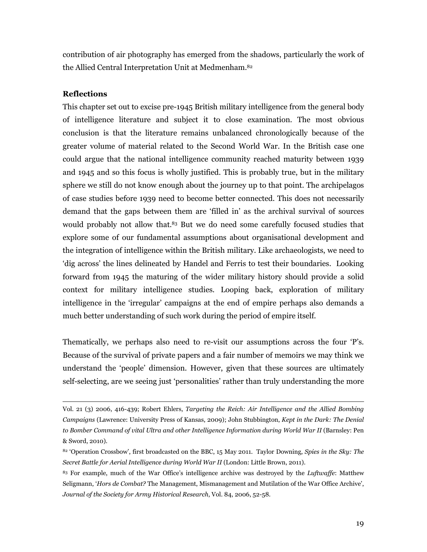contribution of air photography has emerged from the shadows, particularly the work of the Allied Central Interpretation Unit at Medmenham.<sup>82</sup>

## Reflections

l.

This chapter set out to excise pre-1945 British military intelligence from the general body of intelligence literature and subject it to close examination. The most obvious conclusion is that the literature remains unbalanced chronologically because of the greater volume of material related to the Second World War. In the British case one could argue that the national intelligence community reached maturity between 1939 and 1945 and so this focus is wholly justified. This is probably true, but in the military sphere we still do not know enough about the journey up to that point. The archipelagos of case studies before 1939 need to become better connected. This does not necessarily demand that the gaps between them are 'filled in' as the archival survival of sources would probably not allow that.<sup>83</sup> But we do need some carefully focused studies that explore some of our fundamental assumptions about organisational development and the integration of intelligence within the British military. Like archaeologists, we need to 'dig across' the lines delineated by Handel and Ferris to test their boundaries. Looking forward from 1945 the maturing of the wider military history should provide a solid context for military intelligence studies. Looping back, exploration of military intelligence in the 'irregular' campaigns at the end of empire perhaps also demands a much better understanding of such work during the period of empire itself.

Thematically, we perhaps also need to re-visit our assumptions across the four 'P's. Because of the survival of private papers and a fair number of memoirs we may think we understand the 'people' dimension. However, given that these sources are ultimately self-selecting, are we seeing just 'personalities' rather than truly understanding the more

Vol. 21 (3) 2006, 416-439; Robert Ehlers, Targeting the Reich: Air Intelligence and the Allied Bombing Campaigns (Lawrence: University Press of Kansas, 2009); John Stubbington, Kept in the Dark: The Denial to Bomber Command of vital Ultra and other Intelligence Information during World War II (Barnsley: Pen & Sword, 2010).

 $82$  'Operation Crossbow', first broadcasted on the BBC, 15 May 2011. Taylor Downing, Spies in the Sky: The Secret Battle for Aerial Intelligence during World War II (London: Little Brown, 2011).

<sup>&</sup>lt;sup>83</sup> For example, much of the War Office's intelligence archive was destroyed by the *Luftwaffe*: Matthew Seligmann, 'Hors de Combat? The Management, Mismanagement and Mutilation of the War Office Archive', Journal of the Society for Army Historical Research, Vol. 84, 2006, 52-58.